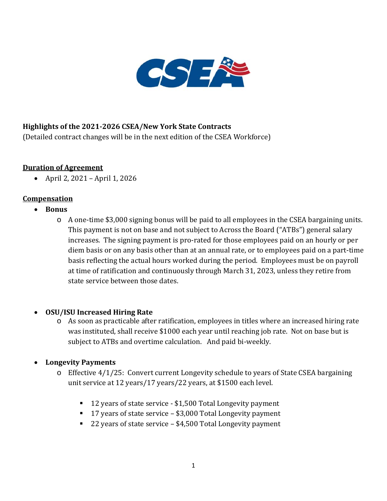

# **Highlights of the 2021-2026 CSEA/New York State Contracts**

(Detailed contract changes will be in the next edition of the CSEA Workforce)

### **Duration of Agreement**

• April 2, 2021 – April 1, 2026

### **Compensation**

- **Bonus**
	- o A one-time \$3,000 signing bonus will be paid to all employees in the CSEA bargaining units. This payment is not on base and not subject to Across the Board ("ATBs") general salary increases. The signing payment is pro-rated for those employees paid on an hourly or per diem basis or on any basis other than at an annual rate, or to employees paid on a part-time basis reflecting the actual hours worked during the period. Employees must be on payroll at time of ratification and continuously through March 31, 2023, unless they retire from state service between those dates.

## • **OSU/ISU Increased Hiring Rate**

o As soon as practicable after ratification, employees in titles where an increased hiring rate was instituted, shall receive \$1000 each year until reaching job rate. Not on base but is subject to ATBs and overtime calculation. And paid bi-weekly.

## • **Longevity Payments**

- o Effective 4/1/25: Convert current Longevity schedule to years of State CSEA bargaining unit service at 12 years/17 years/22 years, at \$1500 each level.
	- 12 years of state service \$1,500 Total Longevity payment
	- 17 years of state service \$3,000 Total Longevity payment
	- 22 years of state service \$4,500 Total Longevity payment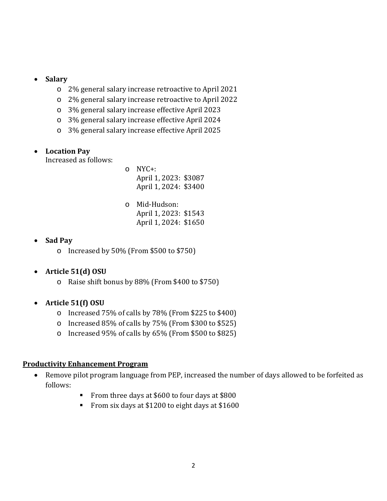- **Salary**
	- o 2% general salary increase retroactive to April 2021
	- o 2% general salary increase retroactive to April 2022
	- o 3% general salary increase effective April 2023
	- o 3% general salary increase effective April 2024
	- o 3% general salary increase effective April 2025

### • **Location Pay**

Increased as follows:

- $O$  NYC+: April 1, 2023: \$3087 April 1, 2024: \$3400
- o Mid-Hudson: April 1, 2023: \$1543 April 1, 2024: \$1650

## • **Sad Pay**

o Increased by 50% (From \$500 to \$750)

## • **Article 51(d) OSU**

- o Raise shift bonus by 88% (From \$400 to \$750)
- **Article 51(f) OSU**
	- o Increased 75% of calls by 78% (From \$225 to \$400)
	- o Increased 85% of calls by 75% (From \$300 to \$525)
	- o Increased 95% of calls by 65% (From \$500 to \$825)

#### **Productivity Enhancement Program**

- Remove pilot program language from PEP, increased the number of days allowed to be forfeited as follows:
	- From three days at \$600 to four days at \$800
	- From six days at \$1200 to eight days at \$1600